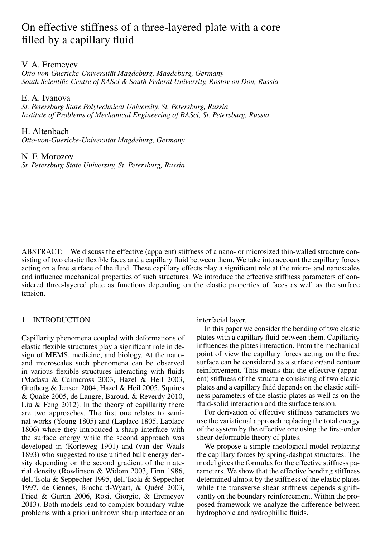# On effective stiffness of a three-layered plate with a core filled by a capillary fluid

# V. A. Eremeyev

*Otto-von-Guericke-Universitat Magdeburg, Magdeburg, Germany ¨ South Scientific Centre of RASci & South Federal University, Rostov on Don, Russia*

E. A. Ivanova

*St. Petersburg State Polytechnical University, St. Petersburg, Russia Institute of Problems of Mechanical Engineering of RASci, St. Petersburg, Russia*

H. Altenbach

*Otto-von-Guericke-Universitat Magdeburg, Germany ¨*

## N. F. Morozov

*St. Petersburg State University, St. Petersburg, Russia*

ABSTRACT: We discuss the effective (apparent) stiffness of a nano- or microsized thin-walled structure consisting of two elastic flexible faces and a capillary fluid between them. We take into account the capillary forces acting on a free surface of the fluid. These capillary effects play a significant role at the micro- and nanoscales and influence mechanical properties of such structures. We introduce the effective stiffness parameters of considered three-layered plate as functions depending on the elastic properties of faces as well as the surface tension.

# 1 INTRODUCTION

Capillarity phenomena coupled with deformations of elastic flexible structures play a significant role in design of MEMS, medicine, and biology. At the nanoand microscales such phenomena can be observed in various flexible structures interacting with fluids (Madasu & Cairncross 2003, Hazel & Heil 2003, Grotberg & Jensen 2004, Hazel & Heil 2005, Squires & Quake 2005, de Langre, Baroud, & Reverdy 2010, Liu  $&$  Feng 2012). In the theory of capillarity there are two approaches. The first one relates to seminal works (Young 1805) and (Laplace 1805, Laplace 1806) where they introduced a sharp interface with the surface energy while the second approach was developed in (Korteweg 1901) and (van der Waals 1893) who suggested to use unified bulk energy density depending on the second gradient of the material density (Rowlinson & Widom 2003, Finn 1986, dell'Isola & Seppecher 1995, dell'Isola & Seppecher 1997, de Gennes, Brochard-Wyart, & Quéré 2003, Fried & Gurtin 2006, Rosi, Giorgio, & Eremeyev 2013). Both models lead to complex boundary-value problems with a priori unknown sharp interface or an interfacial layer.

In this paper we consider the bending of two elastic plates with a capillary fluid between them. Capillarity influences the plates interaction. From the mechanical point of view the capillary forces acting on the free surface can be considered as a surface or/and contour reinforcement. This means that the effective (apparent) stiffness of the structure consisting of two elastic plates and a capillary fluid depends on the elastic stiffness parameters of the elastic plates as well as on the fluid-solid interaction and the surface tension.

For derivation of effective stiffness parameters we use the variational approach replacing the total energy of the system by the effective one using the first-order shear deformable theory of plates.

We propose a simple rheological model replacing the capillary forces by spring-dashpot structures. The model gives the formulas for the effective stiffness parameters. We show that the effective bending stiffness determined almost by the stiffness of the elastic plates while the transverse shear stiffness depends significantly on the boundary reinforcement. Within the proposed framework we analyze the difference between hydrophobic and hydrophillic fluids.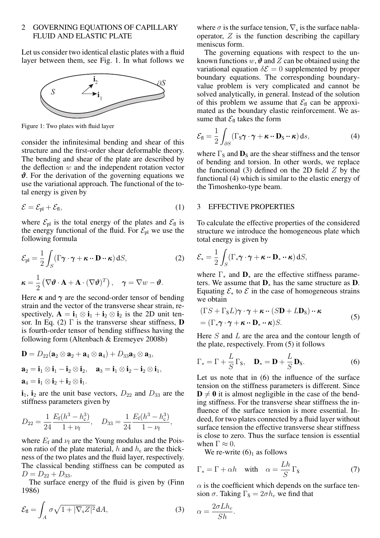## 2 GOVERNING EQUATIONS OF CAPILLARY FLUID AND ELASTIC PLATE

Let us consider two identical elastic plates with a fluid layer between them, see Fig. 1. In what follows we



Figure 1: Two plates with fluid layer

consider the infinitesimal bending and shear of this structure and the first-order shear deformable theory. The bending and shear of the plate are described by the deflection *w* and the independent rotation vector *ϑ*. For the derivation of the governing equations we use the variational approach. The functional of the total energy is given by

$$
\mathcal{E} = \mathcal{E}_{\text{pl}} + \mathcal{E}_{\text{fl}},\tag{1}
$$

where  $\mathcal{E}_{\text{pl}}$  is the total energy of the plates and  $\mathcal{E}_{\text{fl}}$  is the energy functional of the fluid. For  $\mathcal{E}_{\text{pl}}$  we use the following formula

$$
\mathcal{E}_{\text{pl}} = \frac{1}{2} \int_{S} (\Gamma \boldsymbol{\gamma} \cdot \boldsymbol{\gamma} + \boldsymbol{\kappa} \cdot \mathbf{D} \cdot \boldsymbol{\kappa}) \, \mathrm{d}S, \tag{2}
$$
\n
$$
\boldsymbol{\kappa} = \frac{1}{2} \left( \nabla \boldsymbol{\vartheta} \cdot \mathbf{A} + \mathbf{A} \cdot (\nabla \boldsymbol{\vartheta})^{T} \right), \quad \boldsymbol{\gamma} = \nabla w - \boldsymbol{\vartheta}.
$$

Here  $\kappa$  and  $\gamma$  are the second-order tensor of bending strain and the vector of the transverse shear strain, respectively,  $A = i_1 \otimes i_1 + i_2 \otimes i_2$  is the 2D unit tensor. In Eq. (2)  $\Gamma$  is the transverse shear stiffness, **D** is fourth-order tensor of bending stiffness having the following form (Altenbach & Eremeyev 2008b)

$$
\mathbf{D} = D_{22}(\mathbf{a}_2 \otimes \mathbf{a}_2 + \mathbf{a}_4 \otimes \mathbf{a}_4) + D_{33}\mathbf{a}_3 \otimes \mathbf{a}_3,
$$
  

$$
\mathbf{a}_2 = \mathbf{i}_1 \otimes \mathbf{i}_1 - \mathbf{i}_2 \otimes \mathbf{i}_2, \quad \mathbf{a}_3 = \mathbf{i}_1 \otimes \mathbf{i}_2 - \mathbf{i}_2 \otimes \mathbf{i}_1,
$$
  

$$
\mathbf{a}_4 = \mathbf{i}_1 \otimes \mathbf{i}_2 + \mathbf{i}_2 \otimes \mathbf{i}_1.
$$

 $i_1$ ,  $i_2$  are the unit base vectors,  $D_{22}$  and  $D_{33}$  are the stiffness parameters given by

$$
D_{22} = \frac{1}{24} \frac{E_{\rm f}(h^3 - h_{\rm c}^3)}{1 + \nu_{\rm f}}, \quad D_{33} = \frac{1}{24} \frac{E_{\rm f}(h^3 - h_{\rm c}^3)}{1 - \nu_{\rm f}},
$$

where  $E_f$  and  $\nu_f$  are the Young modulus and the Poisson ratio of the plate material,  $h$  and  $h_c$  are the thickness of the two plates and the fluid layer, respectively. The classical bending stiffness can be computed as  $D = D_{22} + D_{33}.$ 

The surface energy of the fluid is given by (Finn 1986)

$$
\mathcal{E}_{\text{fl}} = \int_A \sigma \sqrt{1 + |\nabla_{\text{s}} Z|^2} \, \text{d} A,\tag{3}
$$

where  $\sigma$  is the surface tension,  $\nabla_s$  is the surface nablaoperator, *Z* is the function describing the capillary meniscus form.

The governing equations with respect to the unknown functions  $w$ ,  $\theta$  and  $Z$  can be obtained using the variational equation  $\delta \mathcal{E} = 0$  supplemented by proper boundary equations. The corresponding boundaryvalue problem is very complicated and cannot be solved analytically, in general. Instead of the solution of this problem we assume that  $\mathcal{E}_{\text{fl}}$  can be approximated as the boundary elastic reinforcement. We assume that  $\mathcal{E}_{\text{fl}}$  takes the form

$$
\mathcal{E}_{\text{fl}} = \frac{1}{2} \int_{\partial S} (\Gamma_{\text{S}} \boldsymbol{\gamma} \cdot \boldsymbol{\gamma} + \boldsymbol{\kappa} \cdot \mathbf{D}_{\text{S}} \cdot \boldsymbol{\kappa}) \, \mathrm{d}s,\tag{4}
$$

where  $\Gamma_{\rm S}$  and  $\mathbf{D}_{\rm S}$  are the shear stiffness and the tensor of bending and torsion. In other words, we replace the functional (3) defined on the 2D field *Z* by the functional (4) which is similar to the elastic energy of the Timoshenko-type beam.

#### 3 EFFECTIVE PROPERTIES

To calculate the effective properties of the considered structure we introduce the homogeneous plate which total energy is given by

$$
\mathcal{E}_{*} = \frac{1}{2} \int_{S} (\Gamma_{*} \boldsymbol{\gamma} \cdot \boldsymbol{\gamma} + \boldsymbol{\kappa} \cdot \mathbf{D}_{*} \cdot \boldsymbol{\kappa}) \, \mathrm{d}S,
$$

where Γ*<sup>∗</sup>* and D*<sup>∗</sup>* are the effective stiffness parameters. We assume that D*<sup>∗</sup>* has the same structure as D. Equating  $\mathcal{E}_*$  to  $\mathcal E$  in the case of homogeneous strains we obtain

$$
(\Gamma S + \Gamma_{\mathbf{s}} L)\boldsymbol{\gamma} \cdot \boldsymbol{\gamma} + \boldsymbol{\kappa} \cdot (\boldsymbol{S} \mathbf{D} + L \mathbf{D}_{\mathbf{s}}) \cdot \boldsymbol{\kappa}
$$
  
= (\Gamma\_{\*}\boldsymbol{\gamma} \cdot \boldsymbol{\gamma} + \boldsymbol{\kappa} \cdot \mathbf{D}\_{\*} \cdot \boldsymbol{\kappa}) \boldsymbol{S}. (5)

Here *S* and *L* are the area and the contour length of the plate, respectively. From (5) it follows

$$
\Gamma_* = \Gamma + \frac{L}{S} \Gamma_{\mathbf{S}}, \quad \mathbf{D}_* = \mathbf{D} + \frac{L}{S} \mathbf{D}_{\mathbf{S}}.
$$
 (6)

Let us note that in (6) the influence of the surface tension on the stiffness parameters is different. Since  $D \neq 0$  it is almost negligible in the case of the bending stiffness. For the transverse shear stiffness the influence of the surface tension is more essential. Indeed, for two plates connected by a fluid layer without surface tension the effective transverse shear stiffness is close to zero. Thus the surface tension is essential when  $\Gamma \approx 0$ .

We re-write  $(6)_1$  as follows

$$
\Gamma_* = \Gamma + \alpha h \quad \text{with} \quad \alpha = \frac{Lh}{S} \Gamma_s \tag{7}
$$

 $\alpha$  is the coefficient which depends on the surface tension  $\sigma$ . Taking  $\Gamma_s = 2\sigma h_c$  we find that

$$
\alpha = \frac{2\sigma L h_c}{Sh}.
$$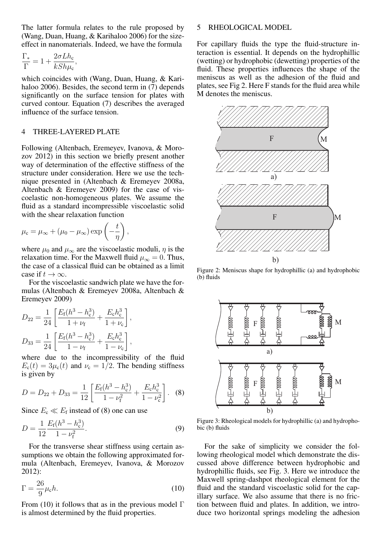The latter formula relates to the rule proposed by (Wang, Duan, Huang, & Karihaloo 2006) for the sizeeffect in nanomaterials. Indeed, we have the formula

$$
\frac{\Gamma_*}{\Gamma} = 1 + \frac{2\sigma L h_c}{k S h \mu_c},
$$

which coincides with (Wang, Duan, Huang, & Karihaloo 2006). Besides, the second term in (7) depends significantly on the surface tension for plates with curved contour. Equation (7) describes the averaged influence of the surface tension.

## 4 THREE-LAYERED PLATE

Following (Altenbach, Eremeyev, Ivanova, & Morozov 2012) in this section we briefly present another way of determination of the effective stiffness of the structure under consideration. Here we use the technique presented in (Altenbach & Eremeyev 2008a, Altenbach & Eremeyev 2009) for the case of viscoelastic non-homogeneous plates. We assume the fluid as a standard incompressible viscoelastic solid with the shear relaxation function

$$
\mu_{\rm c} = \mu_{\infty} + (\mu_0 - \mu_{\infty}) \exp\left(-\frac{t}{\eta}\right),\,
$$

where  $\mu_0$  and  $\mu_\infty$  are the viscoelastic moduli,  $\eta$  is the relaxation time. For the Maxwell fluid  $\mu_{\infty} = 0$ . Thus, the case of a classical fluid can be obtained as a limit case if  $t \to \infty$ .

For the viscoelastic sandwich plate we have the formulas (Altenbach & Eremeyev 2008a, Altenbach & Eremeyev 2009)

$$
D_{22} = \frac{1}{24} \left[ \frac{E_{\rm f}(h^3 - h_{\rm c}^3)}{1 + \nu_{\rm f}} + \frac{E_{\rm c}h_{\rm c}^3}{1 + \nu_{\rm c}} \right],
$$
  

$$
D_{33} = \frac{1}{24} \left[ \frac{E_{\rm f}(h^3 - h_{\rm c}^3)}{1 - \nu_{\rm f}} + \frac{E_{\rm c}h_{\rm c}^3}{1 - \nu_{\rm c}} \right],
$$

where due to the incompressibility of the fluid  $E_c(t) = 3\mu_c(t)$  and  $\nu_c = 1/2$ . The bending stiffness is given by

$$
D = D_{22} + D_{33} = \frac{1}{12} \left[ \frac{E_f (h^3 - h_c^3)}{1 - \nu_f^2} + \frac{E_c h_c^3}{1 - \nu_c^2} \right].
$$
 (8)

Since  $E_c \ll E_f$  instead of (8) one can use

$$
D = \frac{1}{12} \frac{E_{\rm f}(h^3 - h_{\rm c}^3)}{1 - \nu_{\rm f}^2}.
$$
\n(9)

For the transverse shear stiffness using certain assumptions we obtain the following approximated formula (Altenbach, Eremeyev, Ivanova, & Morozov 2012):

$$
\Gamma = \frac{26}{9}\mu_{\rm c}h.\tag{10}
$$

From (10) it follows that as in the previous model  $\Gamma$ is almost determined by the fluid properties.

## 5 RHEOLOGICAL MODEL

For capillary fluids the type the fluid-structure interaction is essential. It depends on the hydrophillic (wetting) or hydrophobic (dewetting) properties of the fluid. These properties influences the shape of the meniscus as well as the adhesion of the fluid and plates, see Fig 2. Here F stands for the fluid area while M denotes the meniscus.



Figure 2: Meniscus shape for hydrophillic (a) and hydrophobic (b) fluids



Figure 3: Rheological models for hydrophillic (a) and hydrophobic (b) fluids

For the sake of simplicity we consider the following rheological model which demonstrate the discussed above difference between hydrophobic and hydrophillic fluids, see Fig. 3. Here we introduce the Maxwell spring-dashpot rheological element for the fluid and the standard viscoelastic solid for the capillary surface. We also assume that there is no friction between fluid and plates. In addition, we introduce two horizontal springs modeling the adhesion